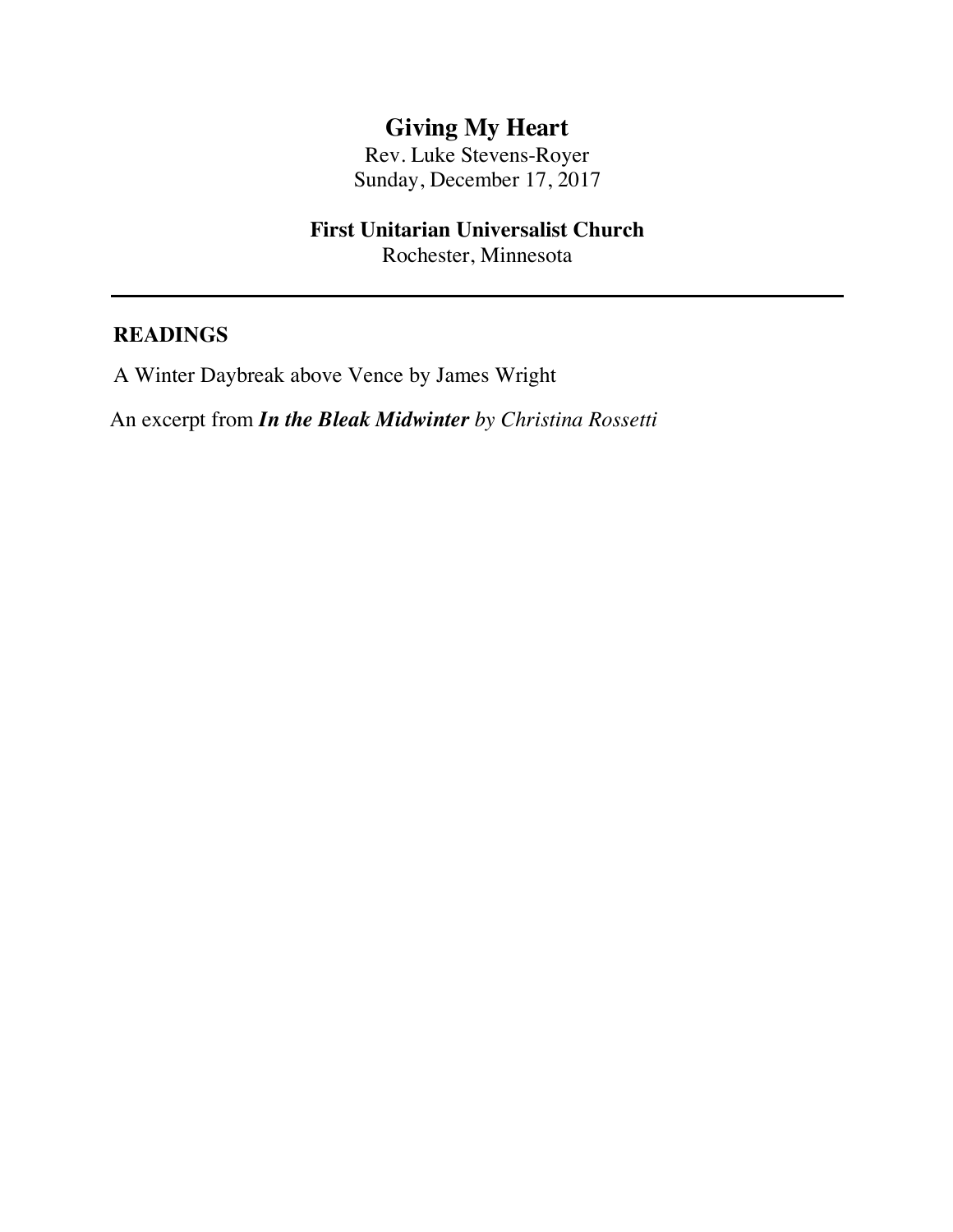# **Giving My Heart**

Rev. Luke Stevens-Royer Sunday, December 17, 2017

# **First Unitarian Universalist Church**

Rochester, Minnesota

#### **READINGS**

A Winter Daybreak above Vence by James Wright

An excerpt from *In the Bleak Midwinter by Christina Rossetti*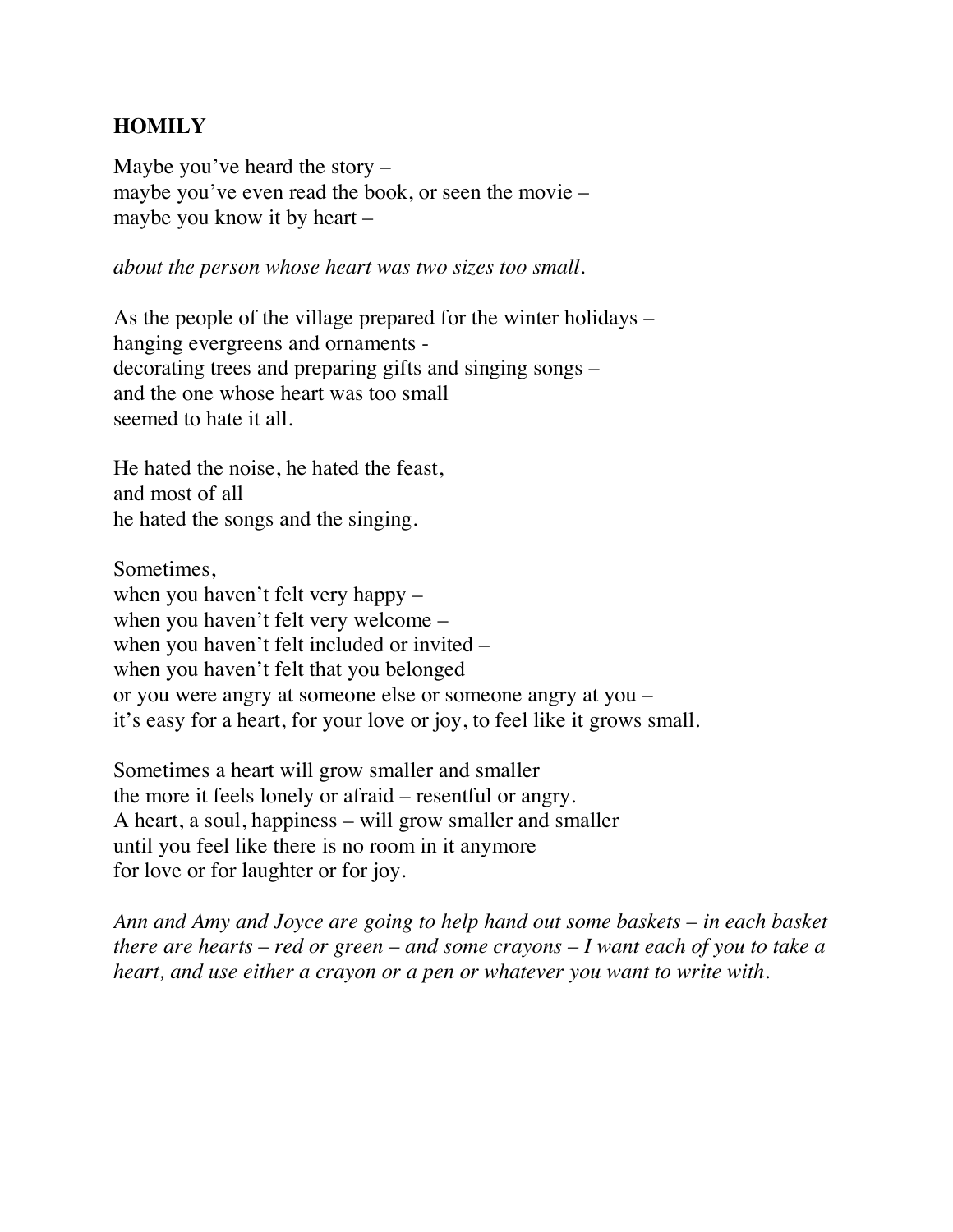# **HOMILY**

Maybe you've heard the story – maybe you've even read the book, or seen the movie – maybe you know it by heart –

*about the person whose heart was two sizes too small.*

As the people of the village prepared for the winter holidays – hanging evergreens and ornaments decorating trees and preparing gifts and singing songs – and the one whose heart was too small seemed to hate it all.

He hated the noise, he hated the feast, and most of all he hated the songs and the singing.

Sometimes, when you haven't felt very happy – when you haven't felt very welcome – when you haven't felt included or invited – when you haven't felt that you belonged or you were angry at someone else or someone angry at you – it's easy for a heart, for your love or joy, to feel like it grows small.

Sometimes a heart will grow smaller and smaller the more it feels lonely or afraid – resentful or angry. A heart, a soul, happiness – will grow smaller and smaller until you feel like there is no room in it anymore for love or for laughter or for joy.

*Ann and Amy and Joyce are going to help hand out some baskets – in each basket there are hearts – red or green – and some crayons – I want each of you to take a heart, and use either a crayon or a pen or whatever you want to write with.*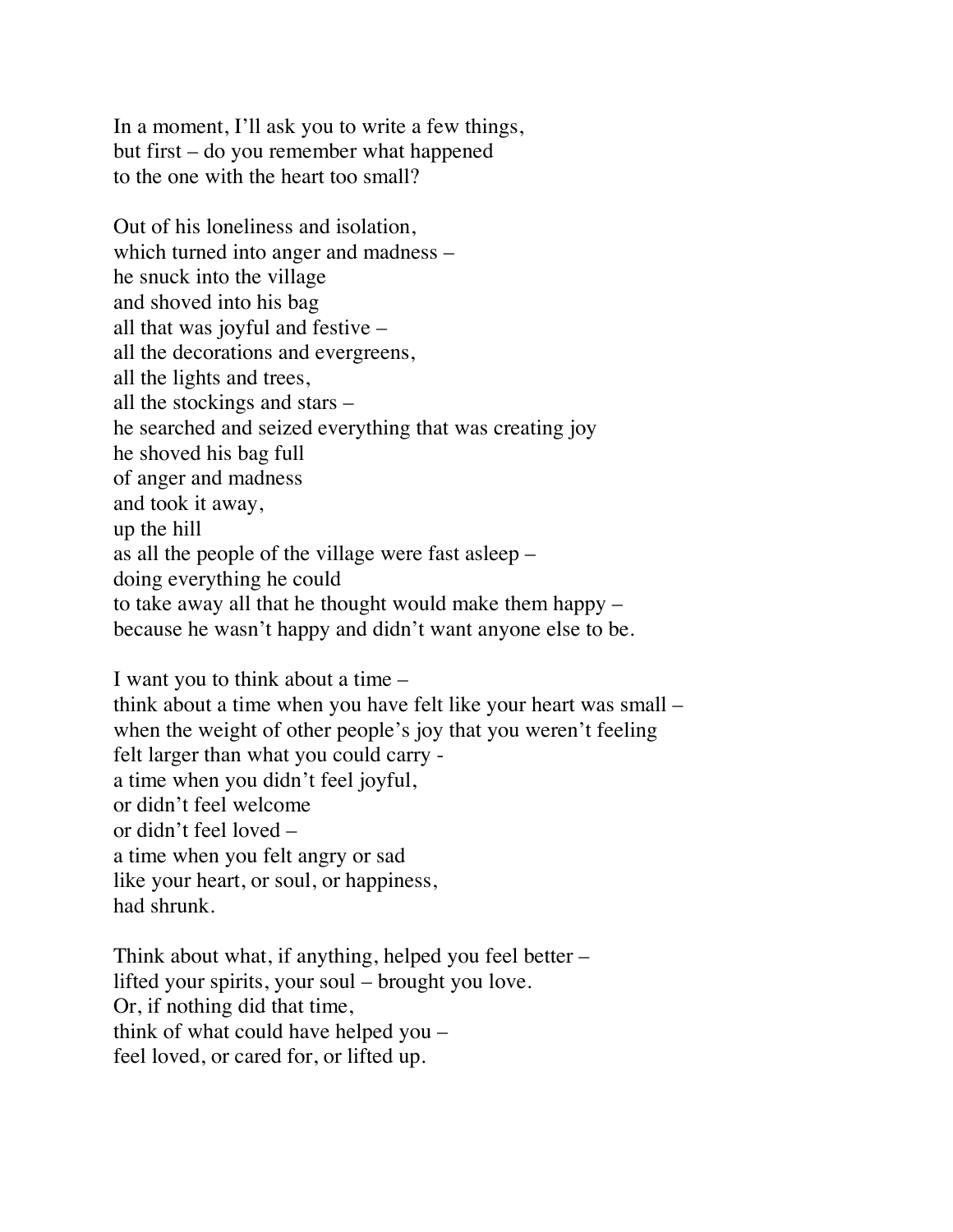In a moment, I'll ask you to write a few things, but first – do you remember what happened to the one with the heart too small?

Out of his loneliness and isolation, which turned into anger and madness – he snuck into the village and shoved into his bag all that was joyful and festive – all the decorations and evergreens, all the lights and trees, all the stockings and stars – he searched and seized everything that was creating joy he shoved his bag full of anger and madness and took it away, up the hill as all the people of the village were fast asleep – doing everything he could to take away all that he thought would make them happy – because he wasn't happy and didn't want anyone else to be.

I want you to think about a time – think about a time when you have felt like your heart was small – when the weight of other people's joy that you weren't feeling felt larger than what you could carry a time when you didn't feel joyful, or didn't feel welcome or didn't feel loved – a time when you felt angry or sad like your heart, or soul, or happiness, had shrunk.

Think about what, if anything, helped you feel better – lifted your spirits, your soul – brought you love. Or, if nothing did that time, think of what could have helped you – feel loved, or cared for, or lifted up.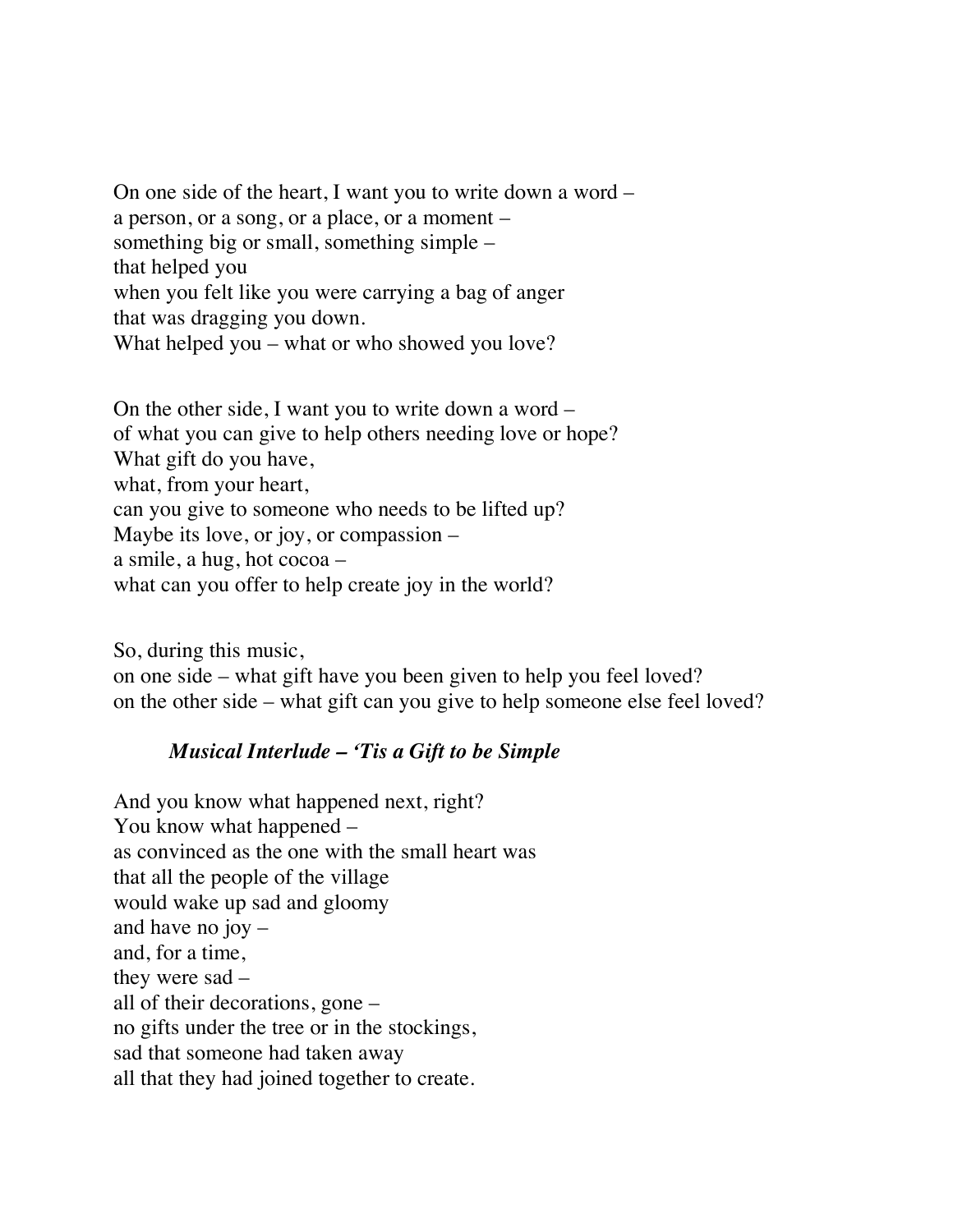On one side of the heart, I want you to write down a word – a person, or a song, or a place, or a moment – something big or small, something simple – that helped you when you felt like you were carrying a bag of anger that was dragging you down. What helped you – what or who showed you love?

On the other side, I want you to write down a word – of what you can give to help others needing love or hope? What gift do you have, what, from your heart, can you give to someone who needs to be lifted up? Maybe its love, or joy, or compassion – a smile, a hug, hot cocoa – what can you offer to help create joy in the world?

So, during this music, on one side – what gift have you been given to help you feel loved? on the other side – what gift can you give to help someone else feel loved?

### *Musical Interlude – 'Tis a Gift to be Simple*

And you know what happened next, right? You know what happened – as convinced as the one with the small heart was that all the people of the village would wake up sad and gloomy and have no joy – and, for a time, they were sad – all of their decorations, gone – no gifts under the tree or in the stockings, sad that someone had taken away all that they had joined together to create.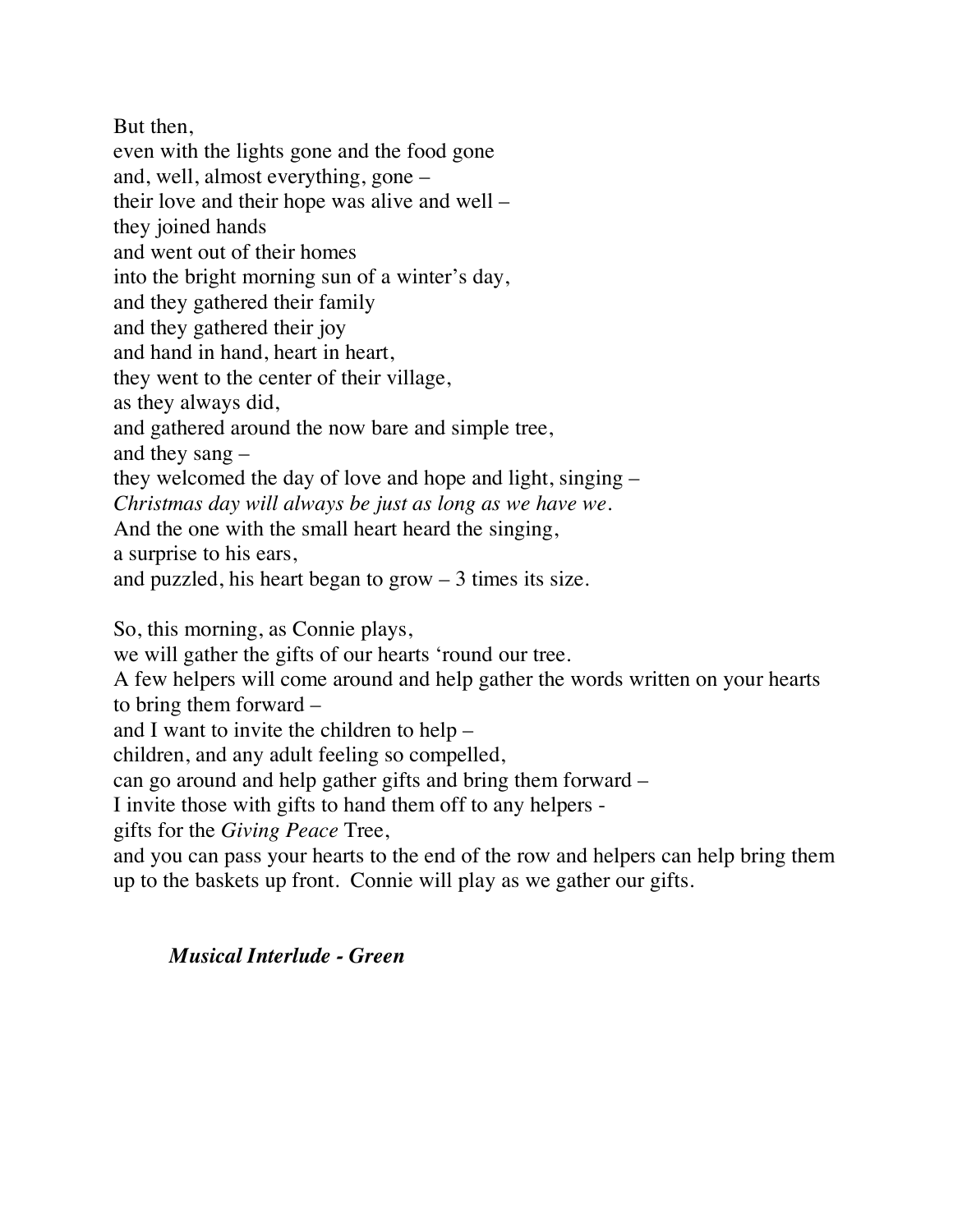But then, even with the lights gone and the food gone and, well, almost everything, gone – their love and their hope was alive and well – they joined hands and went out of their homes into the bright morning sun of a winter's day, and they gathered their family and they gathered their joy and hand in hand, heart in heart, they went to the center of their village, as they always did, and gathered around the now bare and simple tree, and they sang – they welcomed the day of love and hope and light, singing – *Christmas day will always be just as long as we have we.* And the one with the small heart heard the singing, a surprise to his ears, and puzzled, his heart began to grow  $-3$  times its size.

So, this morning, as Connie plays,

we will gather the gifts of our hearts 'round our tree.

A few helpers will come around and help gather the words written on your hearts to bring them forward –

and I want to invite the children to help –

children, and any adult feeling so compelled,

can go around and help gather gifts and bring them forward –

I invite those with gifts to hand them off to any helpers -

gifts for the *Giving Peace* Tree,

and you can pass your hearts to the end of the row and helpers can help bring them up to the baskets up front. Connie will play as we gather our gifts.

### *Musical Interlude - Green*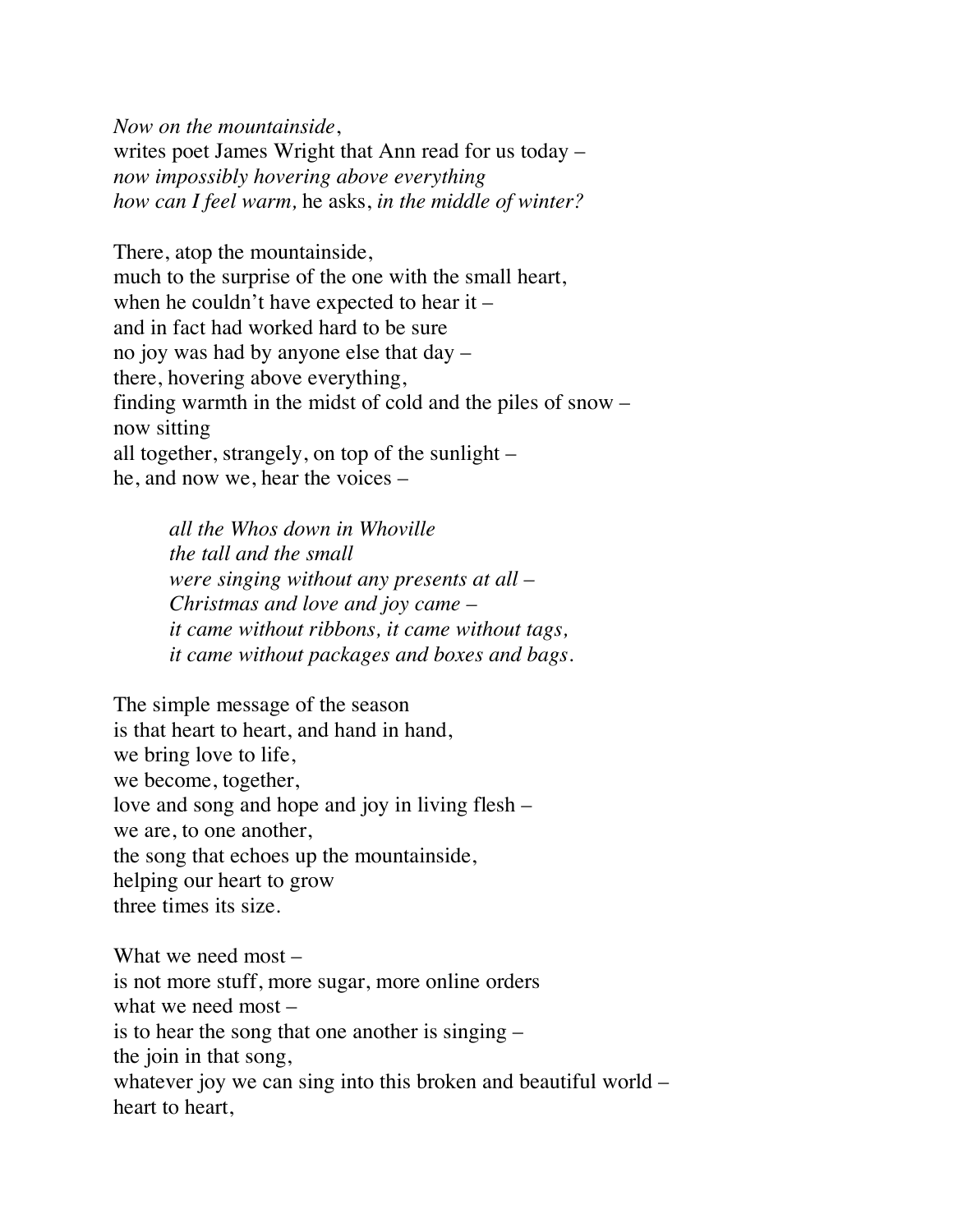*Now on the mountainside*, writes poet James Wright that Ann read for us today – *now impossibly hovering above everything how can I feel warm,* he asks, *in the middle of winter?*

There, atop the mountainside, much to the surprise of the one with the small heart, when he couldn't have expected to hear it – and in fact had worked hard to be sure no joy was had by anyone else that day – there, hovering above everything, finding warmth in the midst of cold and the piles of snow – now sitting all together, strangely, on top of the sunlight – he, and now we, hear the voices –

> *all the Whos down in Whoville the tall and the small were singing without any presents at all – Christmas and love and joy came – it came without ribbons, it came without tags, it came without packages and boxes and bags.*

The simple message of the season is that heart to heart, and hand in hand, we bring love to life, we become, together, love and song and hope and joy in living flesh – we are, to one another, the song that echoes up the mountainside, helping our heart to grow three times its size.

What we need most – is not more stuff, more sugar, more online orders what we need most – is to hear the song that one another is singing – the join in that song, whatever joy we can sing into this broken and beautiful world – heart to heart,